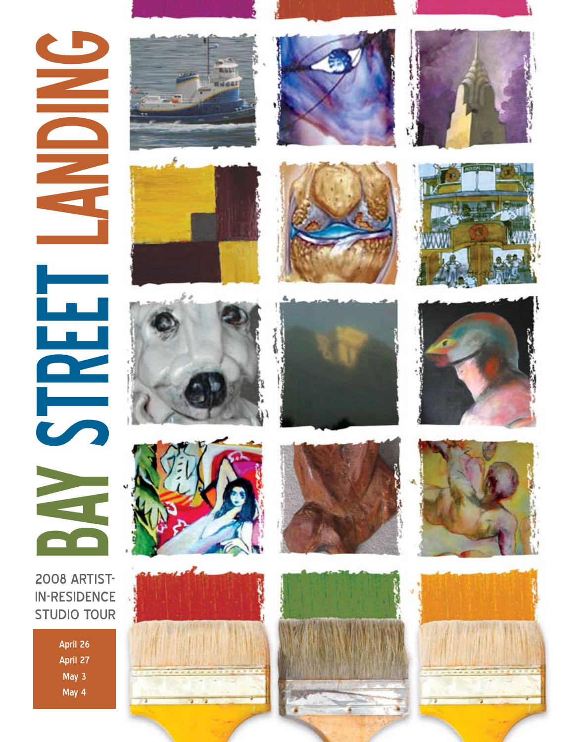BAY STREET LANDING L<br>De<br>V

# 2008 ARTIST-IN-RESIDENCE STUDIO TOUR

April 26 April 27 May 3 May 4





















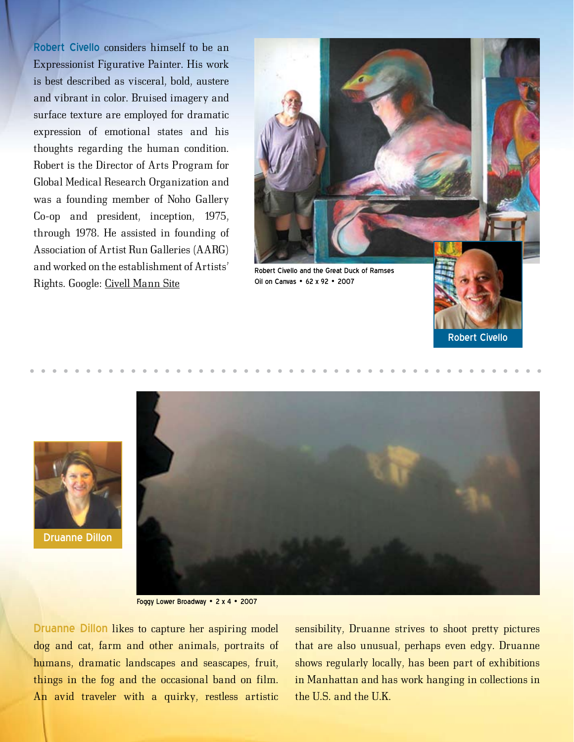Robert Civello considers himself to be an Expressionist Figurative Painter. His work is best described as visceral, bold, austere and vibrant in color. Bruised imagery and surface texture are employed for dramatic expression of emotional states and his thoughts regarding the human condition. Robert is the Director of Arts Program for Global Medical Research Organization and was a founding member of Noho Gallery Co-op and president, inception, 1975, through 1978. He assisted in founding of Association of Artist Run Galleries (AARG) and worked on the establishment of Artists' Rights. Google: Civell Mann Site





Druanne Dillon



Foggy Lower Broadway • 2 x 4 • 2007

Druanne Dillon likes to capture her aspiring model dog and cat, farm and other animals, portraits of humans, dramatic landscapes and seascapes, fruit, things in the fog and the occasional band on film. An avid traveler with a quirky, restless artistic

sensibility, Druanne strives to shoot pretty pictures that are also unusual, perhaps even edgy. Druanne shows regularly locally, has been part of exhibitions in Manhattan and has work hanging in collections in the U.S. and the U.K.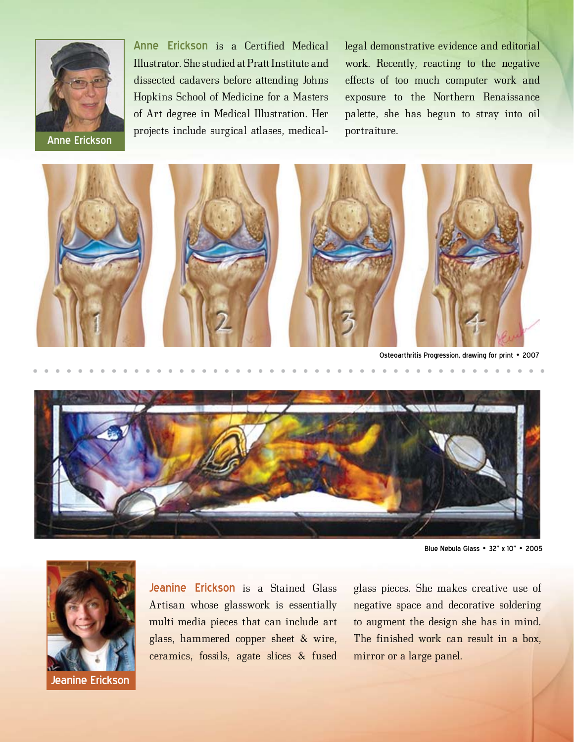

Anne Erickson is a Certified Medical Illustrator. She studied at Pratt Institute and dissected cadavers before attending Johns Hopkins School of Medicine for a Masters of Art degree in Medical Illustration. Her projects include surgical atlases, medical-portraiture. Anne Erickson

legal demonstrative evidence and editorial work. Recently, reacting to the negative effects of too much computer work and exposure to the Northern Renaissance palette, she has begun to stray into oil



Osteoarthritis Progression, drawing for print • 2007



Blue Nebula Glass • 32" x 10" • 2005



Jeanine Erickson is a Stained Glass Artisan whose glasswork is essentially multi media pieces that can include art glass, hammered copper sheet & wire, ceramics, fossils, agate slices & fused

glass pieces. She makes creative use of negative space and decorative soldering to augment the design she has in mind. The finished work can result in a box, mirror or a large panel.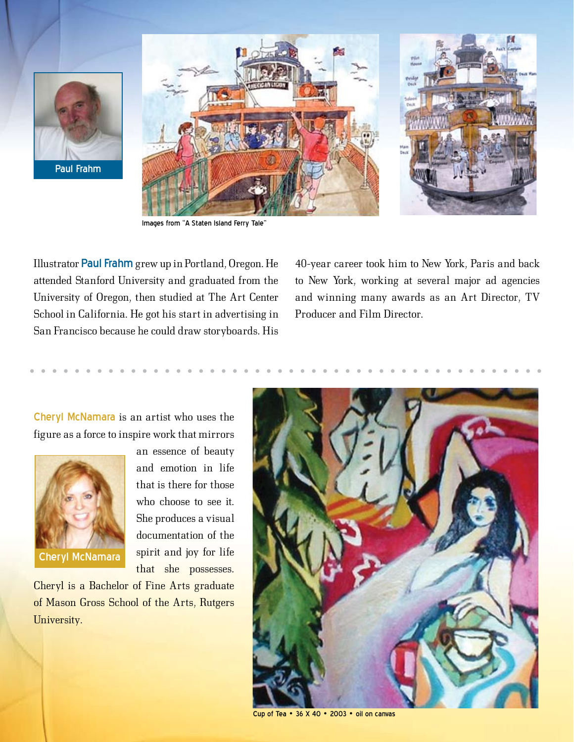

Paul Frahm



Images from "A Staten Island Ferry Tale"

Illustrator Paul Frahm grew up in Portland, Oregon. He attended Stanford University and graduated from the University of Oregon, then studied at The Art Center School in California. He got his start in advertising in San Francisco because he could draw storyboards. His

40-year career took him to New York, Paris and back to New York, working at several major ad agencies and winning many awards as an Art Director, TV Producer and Film Director.

Cheryl McNamara is an artist who uses the figure as a force to inspire work that mirrors



an essence of beauty and emotion in life that is there for those who choose to see it. She produces a visual documentation of the spirit and joy for life that she possesses.

Cheryl is a Bachelor of Fine Arts graduate of Mason Gross School of the Arts, Rutgers University.



Cup of Tea • 36 X 40 • 2003 • oil on canvas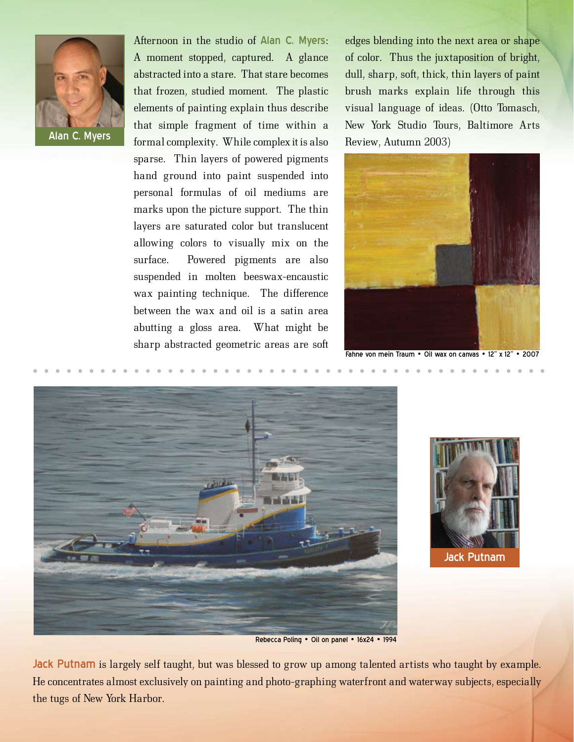

Afternoon in the studio of Alan C. Myers: A moment stopped, captured. A glance abstracted into a stare. That stare becomes that frozen, studied moment. The plastic elements of painting explain thus describe that simple fragment of time within a Alan C. Myers **Formal complexity.** While complex it is also Review, Autumn 2003) sparse. Thin layers of powered pigments hand ground into paint suspended into personal formulas of oil mediums are marks upon the picture support. The thin layers are saturated color but translucent allowing colors to visually mix on the surface. Powered pigments are also suspended in molten beeswax-encaustic wax painting technique. The difference between the wax and oil is a satin area abutting a gloss area. What might be sharp abstracted geometric areas are soft

edges blending into the next area or shape of color. Thus the juxtaposition of bright, dull, sharp, soft, thick, thin layers of paint brush marks explain life through this visual language of ideas. (Otto Tomasch, New York Studio Tours, Baltimore Arts



Fahne von mein Traum • Oil wax on canvas • 12" x 12" • 2007





Rebecca Poling • Oil on panel • 16x24 • 1994

Jack Putnam is largely self taught, but was blessed to grow up among talented artists who taught by example. He concentrates almost exclusively on painting and photo-graphing waterfront and waterway subjects, especially the tugs of New York Harbor.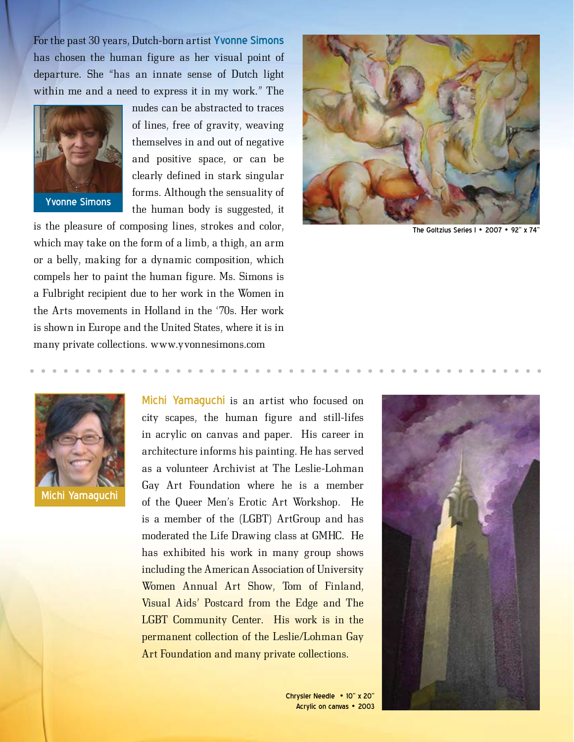For the past 30 years, Dutch-born artist Yvonne Simons has chosen the human figure as her visual point of departure. She "has an innate sense of Dutch light within me and a need to express it in my work." The



nudes can be abstracted to traces of lines, free of gravity, weaving themselves in and out of negative and positive space, or can be clearly defined in stark singular forms. Although the sensuality of the human body is suggested, it

is the pleasure of composing lines, strokes and color, which may take on the form of a limb, a thigh, an arm or a belly, making for a dynamic composition, which compels her to paint the human figure. Ms. Simons is a Fulbright recipient due to her work in the Women in the Arts movements in Holland in the '70s. Her work is shown in Europe and the United States, where it is in many private collections. www.yvonnesimons.com



The Goltzius Series I • 2007 • 92'



Michi Yamaguchi is an artist who focused on city scapes, the human figure and still-lifes in acrylic on canvas and paper. His career in architecture informs his painting. He has served as a volunteer Archivist at The Leslie-Lohman Gay Art Foundation where he is a member of the Queer Men's Erotic Art Workshop. He is a member of the (LGBT) ArtGroup and has moderated the Life Drawing class at GMHC. He has exhibited his work in many group shows including the American Association of University Women Annual Art Show, Tom of Finland, Visual Aids' Postcard from the Edge and The LGBT Community Center. His work is in the permanent collection of the Leslie/Lohman Gay Art Foundation and many private collections.

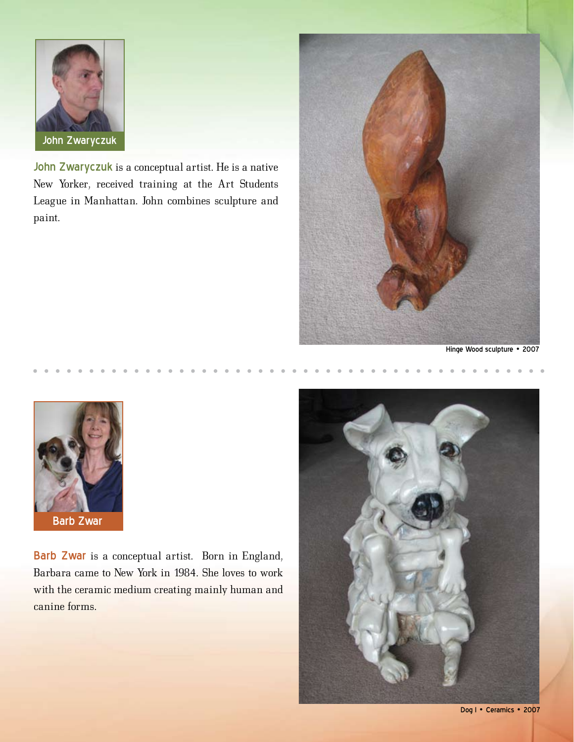

John Zwaryczuk is a conceptual artist. He is a native New Yorker, received training at the Art Students League in Manhattan. John combines sculpture and paint.



Hinge Wood sculpture • 2007



Barb Zwar is a conceptual artist. Born in England, Barbara came to New York in 1984. She loves to work with the ceramic medium creating mainly human and canine forms.